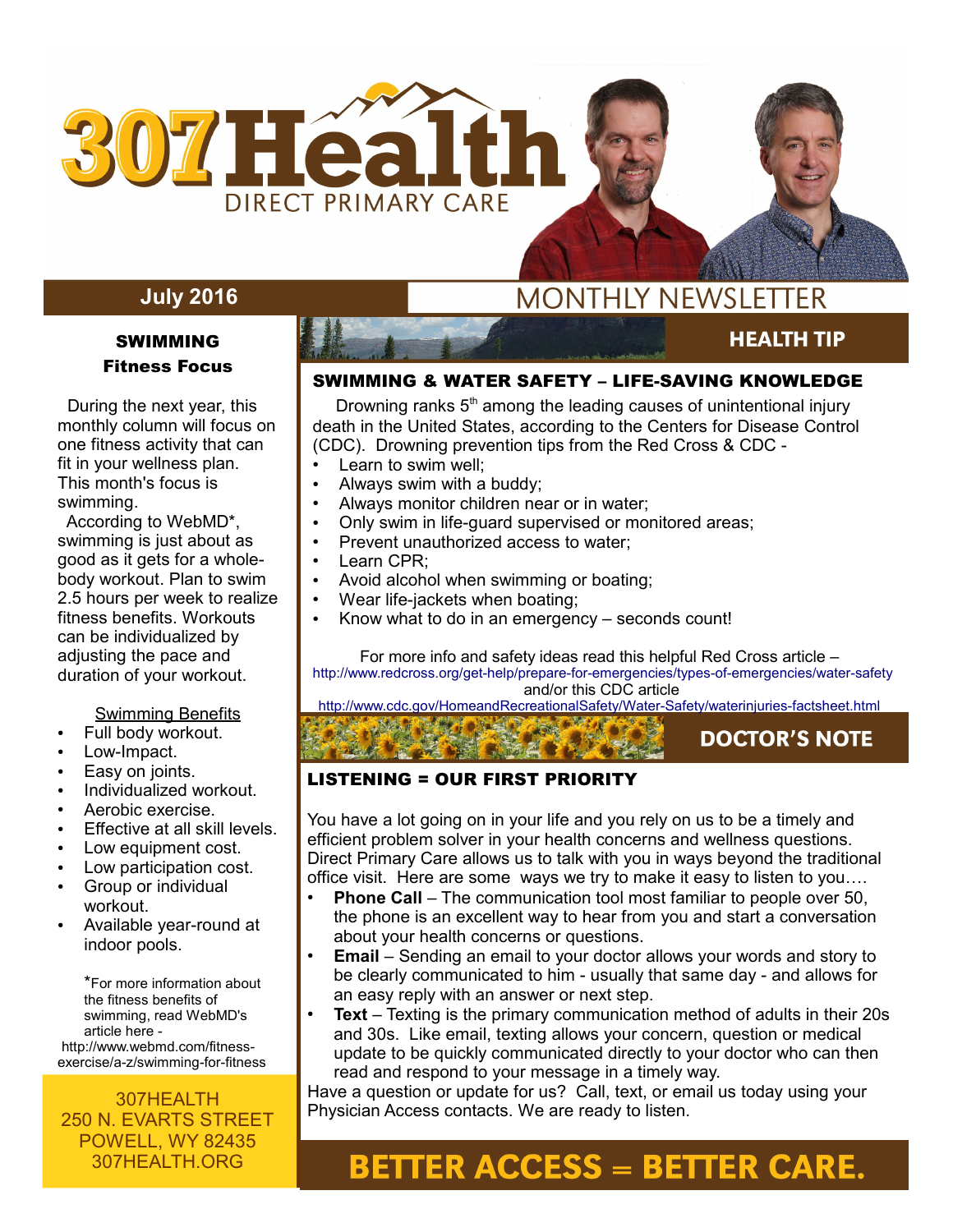

## **July 2016**

### SWIMMING Fitness Focus

 During the next year, this monthly column will focus on one fitness activity that can fit in your wellness plan. This month's focus is swimming.

 According to WebMD\*, swimming is just about as good as it gets for a wholebody workout. Plan to swim 2.5 hours per week to realize fitness benefits. Workouts can be individualized by adjusting the pace and duration of your workout.

### Swimming Benefits

- Full body workout.
- Low-Impact.
- Easy on joints.
- Individualized workout.
- Aerobic exercise.
- Effective at all skill levels.
- Low equipment cost.
- Low participation cost.
- Group or individual workout.
- Available year-round at indoor pools.

\*For more information about the fitness benefits of swimming, read WebMD's article here http://www.webmd.com/fitnessexercise/a-z/swimming-for-fitness

### 307HEALTH 250 N. EVARTS STREET POWELL, WY 82435 307HEALTH.ORG

# **MONTHLY NEWSLETTER**

# **HEALTH TIP**

**DOCTOR'S NOTE** 

**AUGUST 2015** 

### SWIMMING & WATER SAFETY – LIFE-SAVING KNOWLEDGE

Drowning ranks  $5<sup>th</sup>$  among the leading causes of unintentional injury death in the United States, according to the Centers for Disease Control (CDC). Drowning prevention tips from the Red Cross & CDC -

- Learn to swim well;
- Always swim with a buddy;
- Always monitor children near or in water;
- Only swim in life-guard supervised or monitored areas;
- Prevent unauthorized access to water;
- Learn CPR:
- Avoid alcohol when swimming or boating;
- Wear life-jackets when boating;
- Know what to do in an emergency  $-$  seconds count!

For more info and safety ideas read this helpful Red Cross article – <http://www.redcross.org/get-help/prepare-for-emergencies/types-of-emergencies/water-safety> and/or this CDC article

<http://www.cdc.gov/HomeandRecreationalSafety/Water-Safety/waterinjuries-factsheet.html>

### LISTENING = OUR FIRST PRIORITY

You have a lot going on in your life and you rely on us to be a timely and efficient problem solver in your health concerns and wellness questions. Direct Primary Care allows us to talk with you in ways beyond the traditional office visit. Here are some ways we try to make it easy to listen to you….

- **Phone Call** The communication tool most familiar to people over 50, the phone is an excellent way to hear from you and start a conversation about your health concerns or questions.
- **Email** Sending an email to your doctor allows your words and story to be clearly communicated to him - usually that same day - and allows for an easy reply with an answer or next step.
- **Text** Texting is the primary communication method of adults in their 20s and 30s. Like email, texting allows your concern, question or medical update to be quickly communicated directly to your doctor who can then read and respond to your message in a timely way.

Have a question or update for us? Call, text, or email us today using your Physician Access contacts. We are ready to listen.

# **BETTER ACCESS = BETTER CARE.**